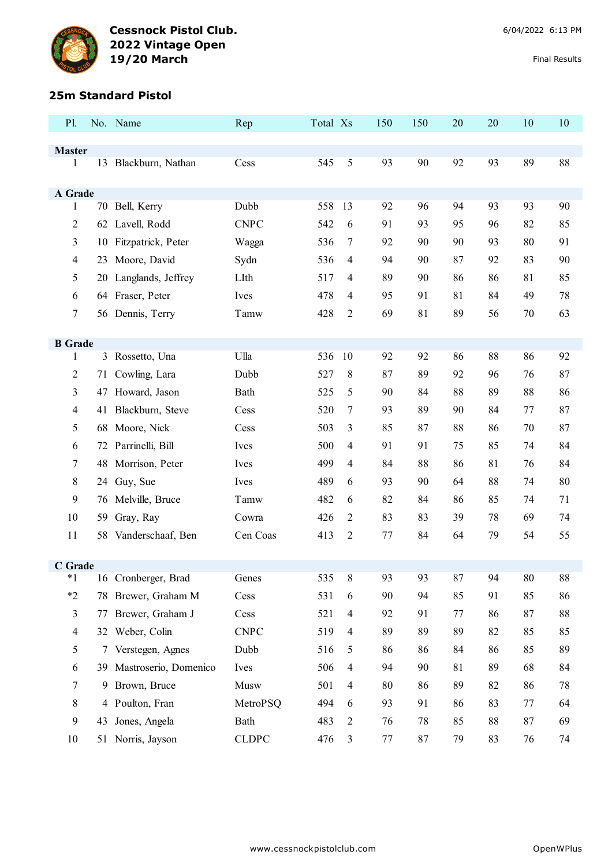

#### **25m Standard Pistol**

| P1.                |    | No. Name                 | Rep          | Total Xs |                | 150     | 150 | 20 | 20 | 10 | 10 |
|--------------------|----|--------------------------|--------------|----------|----------------|---------|-----|----|----|----|----|
|                    |    |                          |              |          |                |         |     |    |    |    |    |
| <b>Master</b><br>1 |    | 13 Blackburn, Nathan     | Cess         | 545      | $\sqrt{5}$     | 93      | 90  | 92 | 93 | 89 | 88 |
|                    |    |                          |              |          |                |         |     |    |    |    |    |
| A Grade            |    |                          |              |          |                |         |     |    |    |    |    |
| 1                  |    | 70 Bell, Kerry           | Dubb         | 558      | 13             | 92      | 96  | 94 | 93 | 93 | 90 |
| 2                  |    | 62 Lavell, Rodd          | <b>CNPC</b>  | 542      | 6              | 91      | 93  | 95 | 96 | 82 | 85 |
| 3                  | 10 | Fitzpatrick, Peter       | Wagga        | 536      | $\overline{7}$ | 92      | 90  | 90 | 93 | 80 | 91 |
| $\overline{4}$     | 23 | Moore, David             | Sydn         | 536      | $\overline{4}$ | 94      | 90  | 87 | 92 | 83 | 90 |
| 5                  | 20 | Langlands, Jeffrey       | LIth         | 517      | $\overline{4}$ | 89      | 90  | 86 | 86 | 81 | 85 |
| 6                  |    | 64 Fraser, Peter         | Ives         | 478      | $\overline{4}$ | 95      | 91  | 81 | 84 | 49 | 78 |
| $\tau$             |    | 56 Dennis, Terry         | Tamw         | 428      | $\overline{2}$ | 69      | 81  | 89 | 56 | 70 | 63 |
| <b>B</b> Grade     |    |                          |              |          |                |         |     |    |    |    |    |
| 1                  |    | 3 Rossetto, Una          | Ulla         | 536      | 10             | 92      | 92  | 86 | 88 | 86 | 92 |
| 2                  | 71 | Cowling, Lara            | Dubb         | 527      | 8              | 87      | 89  | 92 | 96 | 76 | 87 |
| 3                  |    | 47 Howard, Jason         | Bath         | 525      | 5              | 90      | 84  | 88 | 89 | 88 | 86 |
| 4                  | 41 | Blackburn, Steve         | Cess         | 520      | $\overline{7}$ | 93      | 89  | 90 | 84 | 77 | 87 |
| 5                  |    | 68 Moore, Nick           | Cess         | 503      | 3              | 85      | 87  | 88 | 86 | 70 | 87 |
| 6                  | 72 | Parrinelli, Bill         | Ives         | 500      | $\overline{4}$ | 91      | 91  | 75 | 85 | 74 | 84 |
| $\tau$             | 48 | Morrison, Peter          | Ives         | 499      | $\overline{4}$ | 84      | 88  | 86 | 81 | 76 | 84 |
| 8                  | 24 | Guy, Sue                 | Ives         | 489      | 6              | 93      | 90  | 64 | 88 | 74 | 80 |
| 9                  | 76 | Melville, Bruce          | Tamw         | 482      | 6              | 82      | 84  | 86 | 85 | 74 | 71 |
| 10                 | 59 | Gray, Ray                | Cowra        | 426      | $\overline{2}$ | 83      | 83  | 39 | 78 | 69 | 74 |
| 11                 | 58 | Vanderschaaf, Ben        | Cen Coas     | 413      | $\overline{2}$ | $77 \,$ | 84  | 64 | 79 | 54 | 55 |
|                    |    |                          |              |          |                |         |     |    |    |    |    |
| C Grade            |    |                          |              |          |                |         |     |    |    |    |    |
| $*1$<br>$*2$       |    | 16 Cronberger, Brad      | Genes        | 535      | 8              | 93      | 93  | 87 | 94 | 80 | 88 |
|                    |    | 78 Brewer, Graham M      | Cess         | 531      | 6              | 90      | 94  | 85 | 91 | 85 | 86 |
| $\mathfrak{Z}$     | 77 | Brewer, Graham J         | Cess         | 521      | $\overline{4}$ | 92      | 91  | 77 | 86 | 87 | 88 |
| $\overline{4}$     |    | 32 Weber, Colin          | <b>CNPC</b>  | 519      | $\overline{4}$ | 89      | 89  | 89 | 82 | 85 | 85 |
| 5                  |    | 7 Verstegen, Agnes       | Dubb         | 516      | 5              | 86      | 86  | 84 | 86 | 85 | 89 |
| 6                  |    | 39 Mastroserio, Domenico | Ives         | 506      | $\overline{4}$ | 94      | 90  | 81 | 89 | 68 | 84 |
| $\tau$             | 9  | Brown, Bruce             | Musw         | 501      | $\overline{4}$ | 80      | 86  | 89 | 82 | 86 | 78 |
| 8                  |    | 4 Poulton, Fran          | MetroPSQ     | 494      | 6              | 93      | 91  | 86 | 83 | 77 | 64 |
| 9                  | 43 | Jones, Angela            | Bath         | 483      | $\overline{2}$ | 76      | 78  | 85 | 88 | 87 | 69 |
| 10                 |    | 51 Norris, Jayson        | <b>CLDPC</b> | 476      | $\mathfrak{Z}$ | 77      | 87  | 79 | 83 | 76 | 74 |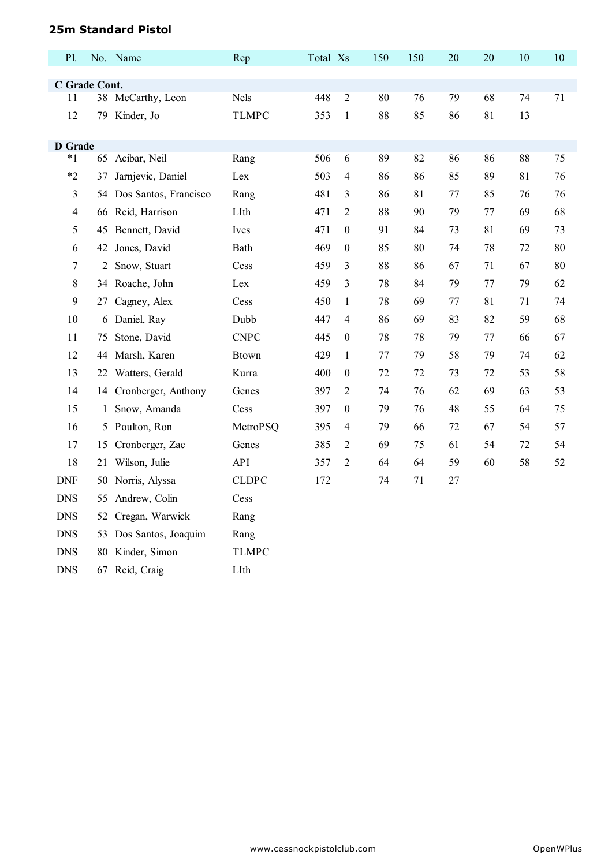## **25m Standard Pistol**

DNS 67 Reid, Craig LIth

| P1.            |              | No. Name              | Rep          | Total Xs |                  | 150 | 150 | 20 | 20 | 10 | 10 |
|----------------|--------------|-----------------------|--------------|----------|------------------|-----|-----|----|----|----|----|
| C Grade Cont.  |              |                       |              |          |                  |     |     |    |    |    |    |
| 11             |              | 38 McCarthy, Leon     | Nels         | 448      | $\overline{2}$   | 80  | 76  | 79 | 68 | 74 | 71 |
| 12             | 79           | Kinder, Jo            | <b>TLMPC</b> | 353      | $\mathbf{1}$     | 88  | 85  | 86 | 81 | 13 |    |
|                |              |                       |              |          |                  |     |     |    |    |    |    |
| <b>D</b> Grade |              |                       |              |          |                  |     |     |    |    |    |    |
| $*1$           |              | 65 Acibar, Neil       | Rang         | 506      | 6                | 89  | 82  | 86 | 86 | 88 | 75 |
| $*2$           | 37           | Jarnjevic, Daniel     | Lex          | 503      | 4                | 86  | 86  | 85 | 89 | 81 | 76 |
| 3              | 54           | Dos Santos, Francisco | Rang         | 481      | 3                | 86  | 81  | 77 | 85 | 76 | 76 |
| $\overline{4}$ | 66           | Reid, Harrison        | LIth         | 471      | $\overline{c}$   | 88  | 90  | 79 | 77 | 69 | 68 |
| 5              | 45           | Bennett, David        | Ives         | 471      | $\boldsymbol{0}$ | 91  | 84  | 73 | 81 | 69 | 73 |
| 6              | 42           | Jones, David          | <b>Bath</b>  | 469      | $\boldsymbol{0}$ | 85  | 80  | 74 | 78 | 72 | 80 |
| $\tau$         | 2            | Snow, Stuart          | Cess         | 459      | 3                | 88  | 86  | 67 | 71 | 67 | 80 |
| 8              |              | 34 Roache, John       | Lex          | 459      | 3                | 78  | 84  | 79 | 77 | 79 | 62 |
| 9              | 27           | Cagney, Alex          | Cess         | 450      | $\mathbf{1}$     | 78  | 69  | 77 | 81 | 71 | 74 |
| 10             | 6            | Daniel, Ray           | Dubb         | 447      | 4                | 86  | 69  | 83 | 82 | 59 | 68 |
| 11             | 75           | Stone, David          | <b>CNPC</b>  | 445      | $\boldsymbol{0}$ | 78  | 78  | 79 | 77 | 66 | 67 |
| 12             | 44           | Marsh, Karen          | <b>Btown</b> | 429      | $\mathbf{1}$     | 77  | 79  | 58 | 79 | 74 | 62 |
| 13             | 22           | Watters, Gerald       | Kurra        | 400      | $\boldsymbol{0}$ | 72  | 72  | 73 | 72 | 53 | 58 |
| 14             | 14           | Cronberger, Anthony   | Genes        | 397      | $\overline{2}$   | 74  | 76  | 62 | 69 | 63 | 53 |
| 15             | $\mathbf{1}$ | Snow, Amanda          | Cess         | 397      | $\boldsymbol{0}$ | 79  | 76  | 48 | 55 | 64 | 75 |
| 16             | 5            | Poulton, Ron          | MetroPSQ     | 395      | 4                | 79  | 66  | 72 | 67 | 54 | 57 |
| 17             | 15           | Cronberger, Zac       | Genes        | 385      | $\overline{2}$   | 69  | 75  | 61 | 54 | 72 | 54 |
| 18             | 21           | Wilson, Julie         | API          | 357      | $\overline{2}$   | 64  | 64  | 59 | 60 | 58 | 52 |
| <b>DNF</b>     | 50           | Norris, Alyssa        | <b>CLDPC</b> | 172      |                  | 74  | 71  | 27 |    |    |    |
| <b>DNS</b>     | 55           | Andrew, Colin         | Cess         |          |                  |     |     |    |    |    |    |
| <b>DNS</b>     | 52           | Cregan, Warwick       | Rang         |          |                  |     |     |    |    |    |    |
| <b>DNS</b>     | 53           | Dos Santos, Joaquim   | Rang         |          |                  |     |     |    |    |    |    |
| <b>DNS</b>     | 80           | Kinder, Simon         | <b>TLMPC</b> |          |                  |     |     |    |    |    |    |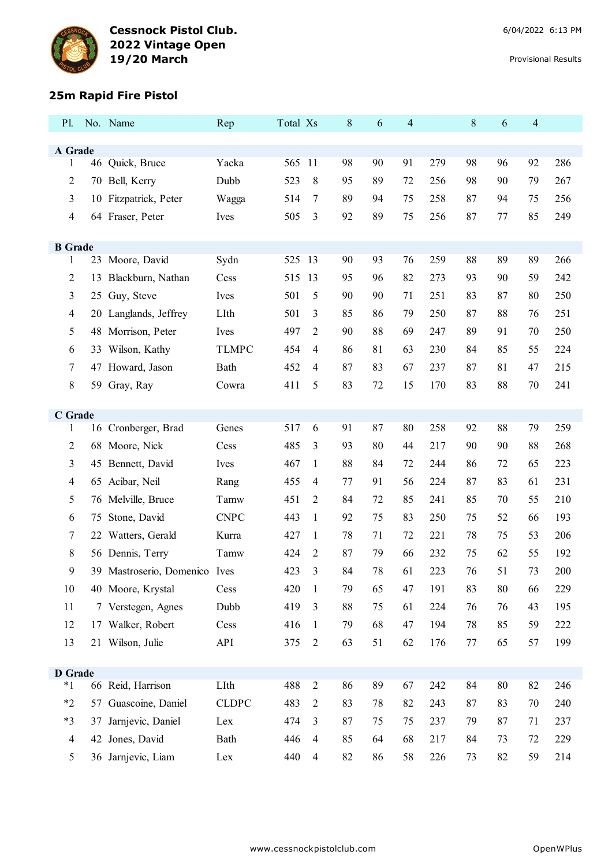

### **25m Rapid Fire Pistol**

| P1.                    |    | No. Name                             | Rep                  | Total Xs   |                | 8        | 6        | $\overline{4}$ |            | 8        | 6        | 4        |            |
|------------------------|----|--------------------------------------|----------------------|------------|----------------|----------|----------|----------------|------------|----------|----------|----------|------------|
| A Grade                |    |                                      |                      |            |                |          |          |                |            |          |          |          |            |
| 1                      |    | 46 Quick, Bruce                      | Yacka                | 565 11     |                | 98       | 90       | 91             | 279        | 98       | 96       | 92       | 286        |
| $\overline{2}$         |    | 70 Bell, Kerry                       | Dubb                 | 523        | 8              | 95       | 89       | 72             | 256        | 98       | 90       | 79       | 267        |
| 3                      |    | 10 Fitzpatrick, Peter                | Wagga                | 514        | 7              | 89       | 94       | 75             | 258        | 87       | 94       | 75       | 256        |
| 4                      |    | 64 Fraser, Peter                     | Ives                 | 505        | 3              | 92       | 89       | 75             | 256        | 87       | 77       | 85       | 249        |
|                        |    |                                      |                      |            |                |          |          |                |            |          |          |          |            |
| <b>B</b> Grade         |    |                                      |                      |            |                | 90       | 93       | 76             | 259        | 88       | 89       |          | 266        |
| $\mathbf{1}$           |    | 23 Moore, David                      | Sydn                 | 525 13     |                |          |          |                |            |          |          | 89       |            |
| 2                      | 13 | Blackburn, Nathan                    | Cess                 | 515        | 13             | 95       | 96       | 82             | 273        | 93       | 90       | 59       | 242        |
| 3<br>4                 |    | 25 Guy, Steve                        | Ives<br>LIth         | 501<br>501 | 5<br>3         | 90<br>85 | 90<br>86 | 71<br>79       | 251<br>250 | 83<br>87 | 87<br>88 | 80<br>76 | 250<br>251 |
|                        |    | 20 Langlands, Jeffrey                |                      | 497        | 2              | 90       | 88       | 69             | 247        | 89       | 91       | 70       | 250        |
| 5                      |    | 48 Morrison, Peter                   | Ives<br><b>TLMPC</b> | 454        | 4              | 86       | 81       | 63             | 230        | 84       | 85       | 55       | 224        |
| 6                      |    | 33 Wilson, Kathy<br>47 Howard, Jason | Bath                 | 452        | 4              | 87       | 83       | 67             | 237        | 87       | 81       | 47       | 215        |
| 7<br>8                 |    | 59 Gray, Ray                         | Cowra                | 411        | 5              | 83       | 72       | 15             | 170        | 83       | 88       | 70       | 241        |
|                        |    |                                      |                      |            |                |          |          |                |            |          |          |          |            |
| C Grade                |    |                                      |                      |            |                |          |          |                |            |          |          |          |            |
| 1                      |    | 16 Cronberger, Brad                  | Genes                | 517        | 6              | 91       | 87       | 80             | 258        | 92       | 88       | 79       | 259        |
| 2                      |    | 68 Moore, Nick                       | Cess                 | 485        | 3              | 93       | 80       | 44             | 217        | 90       | 90       | 88       | 268        |
| 3                      |    | 45 Bennett, David                    | Ives                 | 467        | 1              | 88       | 84       | 72             | 244        | 86       | 72       | 65       | 223        |
| 4                      |    | 65 Acibar, Neil                      | Rang                 | 455        | 4              | 77       | 91       | 56             | 224        | 87       | 83       | 61       | 231        |
| 5                      |    | 76 Melville, Bruce                   | Tamw                 | 451        | 2              | 84       | 72       | 85             | 241        | 85       | 70       | 55       | 210        |
| 6                      | 75 | Stone, David                         | <b>CNPC</b>          | 443        | $\mathbf{1}$   | 92       | 75       | 83             | 250        | 75       | 52       | 66       | 193        |
| 7                      |    | 22 Watters, Gerald                   | Kurra                | 427        | 1              | 78       | 71       | 72             | 221        | 78       | 75       | 53       | 206        |
| 8                      |    | 56 Dennis, Terry                     | Tamw                 | 424        | 2              | 87       | 79       | 66             | 232        | 75       | 62       | 55       | 192        |
| 9                      |    | 39 Mastroserio, Domenico Ives        |                      | 423        | 3              | 84       | 78       | 61             | 223        | 76       | 51       | 73       | 200        |
| 10                     |    | 40 Moore, Krystal                    | Cess                 | 420        | $\mathbf{1}$   | 79       | 65       | 47             | 191        | 83       | $80\,$   | 66       | 229        |
| 11                     |    | 7 Verstegen, Agnes                   | Dubb                 | 419        | 3              | 88       | 75       | 61             | 224        | 76       | 76       | 43       | 195        |
| 12                     |    | 17 Walker, Robert                    | Cess                 | 416        | $\mathbf{1}$   | 79       | 68       | 47             | 194        | 78       | 85       | 59       | 222        |
| 13                     |    | 21 Wilson, Julie                     | API                  | 375        | $\mathfrak{2}$ | 63       | 51       | 62             | 176        | $77 \,$  | 65       | 57       | 199        |
|                        |    |                                      |                      |            |                |          |          |                |            |          |          |          |            |
| <b>D</b> Grade<br>$*1$ |    | 66 Reid, Harrison                    | LIth                 | 488        | $\mathbf{2}$   | 86       | 89       | 67             | 242        | 84       | $80\,$   | 82       | 246        |
| $*2$                   | 57 | Guascoine, Daniel                    | <b>CLDPC</b>         | 483        | $\overline{2}$ | 83       | 78       | 82             | 243        | 87       | 83       | 70       | 240        |
| $*3$                   | 37 | Jarnjevic, Daniel                    | Lex                  | 474        | 3              | 87       | 75       | 75             | 237        | 79       | 87       | 71       | 237        |
| $\overline{4}$         |    | 42 Jones, David                      | Bath                 | 446        | $\overline{4}$ | 85       | 64       | 68             | 217        | 84       | 73       | 72       | 229        |
| 5                      |    | 36 Jarnjevic, Liam                   | Lex                  | 440        | $\overline{4}$ | 82       | 86       | 58             | 226        | 73       | 82       | 59       | 214        |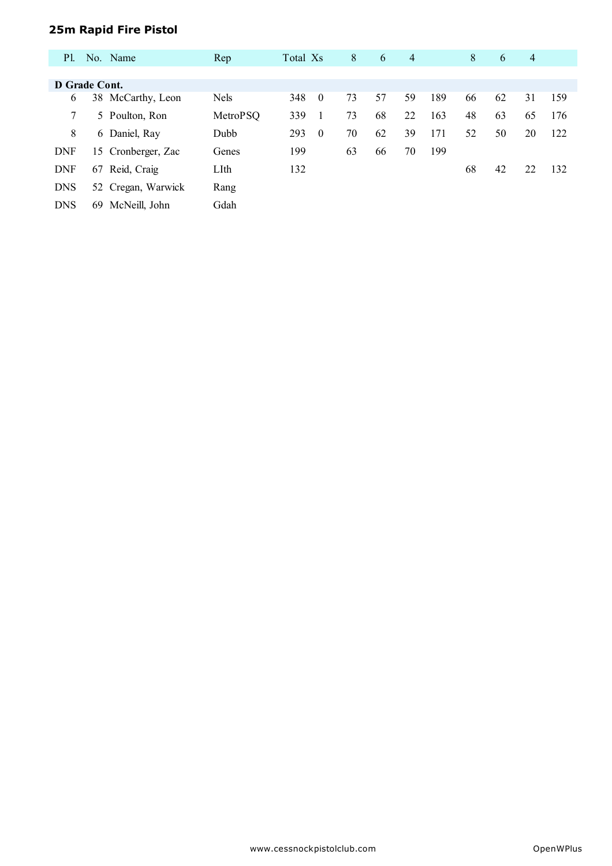# **25m Rapid Fire Pistol**

| P1.           |    | No. Name           | Rep         | Total Xs |          | 8  | 6  | $\overline{4}$ |     | 8  | 6  | $\overline{4}$ |     |
|---------------|----|--------------------|-------------|----------|----------|----|----|----------------|-----|----|----|----------------|-----|
|               |    |                    |             |          |          |    |    |                |     |    |    |                |     |
| D Grade Cont. |    |                    |             |          |          |    |    |                |     |    |    |                |     |
| 6             |    | 38 McCarthy, Leon  | <b>Nels</b> | 348      | $\theta$ | 73 | 57 | 59             | 189 | 66 | 62 | 31             | 159 |
| 7             |    | 5 Poulton, Ron     | MetroPSQ    | 339      |          | 73 | 68 | 22             | 163 | 48 | 63 | 65             | 176 |
| 8             |    | 6 Daniel, Ray      | Dubb        | 293      | $\theta$ | 70 | 62 | 39             | 171 | 52 | 50 | 20             | 122 |
| <b>DNF</b>    |    | 15 Cronberger, Zac | Genes       | 199      |          | 63 | 66 | 70             | 199 |    |    |                |     |
| <b>DNF</b>    | 67 | Reid, Craig        | LIth        | 132      |          |    |    |                |     | 68 | 42 | 22             | 132 |
| <b>DNS</b>    |    | 52 Cregan, Warwick | Rang        |          |          |    |    |                |     |    |    |                |     |
| <b>DNS</b>    | 69 | McNeill, John      | Gdah        |          |          |    |    |                |     |    |    |                |     |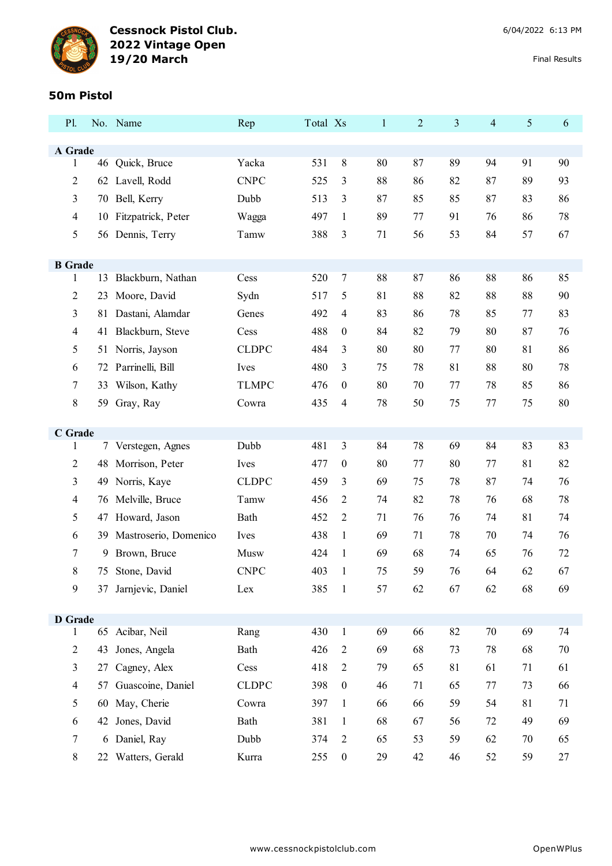

### **50m Pistol**

| P1.                 |          | No. Name                        | Rep          | Total Xs   |                       | $\mathbf{1}$ | $\overline{2}$ | 3        | $\overline{4}$ | 5        | 6        |
|---------------------|----------|---------------------------------|--------------|------------|-----------------------|--------------|----------------|----------|----------------|----------|----------|
| A Grade             |          |                                 |              |            |                       |              |                |          |                |          |          |
| 1                   |          | 46 Quick, Bruce                 | Yacka        | 531        | 8                     | 80           | 87             | 89       | 94             | 91       | 90       |
| 2                   |          | 62 Lavell, Rodd                 | <b>CNPC</b>  | 525        | 3                     | 88           | 86             | 82       | 87             | 89       | 93       |
| 3                   |          | 70 Bell, Kerry                  | Dubb         | 513        | 3                     | 87           | 85             | 85       | 87             | 83       | 86       |
| 4                   |          | 10 Fitzpatrick, Peter           | Wagga        | 497        | 1                     | 89           | 77             | 91       | 76             | 86       | 78       |
| 5                   |          | 56 Dennis, Terry                | Tamw         | 388        | 3                     | 71           | 56             | 53       | 84             | 57       | 67       |
|                     |          |                                 |              |            |                       |              |                |          |                |          |          |
| <b>B</b> Grade<br>1 |          | 13 Blackburn, Nathan            | Cess         | 520        | $\tau$                | 88           | 87             | 86       | 88             | 86       | 85       |
| 2                   | 23       | Moore, David                    | Sydn         | 517        | 5                     | 81           | 88             | 82       | 88             | 88       | 90       |
| 3                   | 81       | Dastani, Alamdar                | Genes        | 492        | $\overline{4}$        | 83           | 86             | 78       | 85             | 77       | 83       |
| 4                   |          | 41 Blackburn, Steve             | Cess         | 488        | $\boldsymbol{0}$      | 84           | 82             | 79       | 80             | 87       | 76       |
| 5                   |          | 51 Norris, Jayson               | <b>CLDPC</b> | 484        | 3                     | 80           | 80             | 77       | 80             | 81       | 86       |
| 6                   |          | 72 Parrinelli, Bill             | Ives         | 480        | 3                     | 75           | 78             | 81       | 88             | 80       | 78       |
| 7                   | 33       | Wilson, Kathy                   | <b>TLMPC</b> | 476        | $\boldsymbol{0}$      | 80           | 70             | 77       | 78             | 85       | 86       |
| 8                   |          | 59 Gray, Ray                    | Cowra        | 435        | $\overline{4}$        | 78           | 50             | 75       | 77             | 75       | 80       |
|                     |          |                                 |              |            |                       |              |                |          |                |          |          |
| C Grade             |          |                                 |              |            |                       |              |                |          |                |          |          |
| 1                   |          | 7 Verstegen, Agnes              | Dubb<br>Ives | 481<br>477 | 3<br>$\boldsymbol{0}$ | 84<br>80     | 78             | 69<br>80 | 84             | 83<br>81 | 83       |
| 2<br>3              | 48       | Morrison, Peter<br>Norris, Kaye | <b>CLDPC</b> | 459        | 3                     | 69           | 77<br>75       | 78       | 77<br>87       | 74       | 82<br>76 |
| 4                   | 49<br>76 | Melville, Bruce                 | Tamw         | 456        | $\overline{2}$        | 74           | 82             | 78       | 76             | 68       | 78       |
| 5                   | 47       | Howard, Jason                   | Bath         | 452        | $\overline{2}$        | 71           | 76             | 76       | 74             | 81       | 74       |
| 6                   |          | 39 Mastroserio, Domenico        | Ives         | 438        | $\mathbf{1}$          | 69           | 71             | 78       | 70             | 74       | 76       |
| 7                   |          | 9 Brown, Bruce                  | Musw         | 424        | 1                     | 69           | 68             | 74       | 65             | 76       | 72       |
| 8                   |          | 75 Stone, David                 | <b>CNPC</b>  | 403        |                       | 75           | 59             | 76       | 64             | 62       | 67       |
| 9                   |          | 37 Jarnjevic, Daniel            | Lex          | 385        | $\mathbf{1}$          | 57           | 62             | 67       | 62             | 68       | 69       |
|                     |          |                                 |              |            |                       |              |                |          |                |          |          |
| <b>D</b> Grade      |          |                                 |              |            |                       |              |                |          |                |          |          |
| 1                   |          | 65 Acibar, Neil                 | Rang         | 430        | $\mathbf{1}$          | 69           | 66             | 82       | 70             | 69       | 74       |
| $\overline{c}$      | 43       | Jones, Angela                   | Bath         | 426        | $\overline{2}$        | 69           | 68             | 73       | 78             | 68       | 70       |
| 3                   |          | 27 Cagney, Alex                 | Cess         | 418        | $\overline{2}$        | 79           | 65             | 81       | 61             | 71       | 61       |
| 4                   |          | 57 Guascoine, Daniel            | <b>CLDPC</b> | 398        | $\boldsymbol{0}$      | 46           | 71             | 65       | 77             | 73       | 66       |
| 5                   |          | 60 May, Cherie                  | Cowra        | 397        | $\mathbf{1}$          | 66           | 66             | 59       | 54             | 81       | 71       |
| 6                   | 42       | Jones, David                    | Bath         | 381        | $\mathbf{1}$          | 68           | 67             | 56       | 72             | 49       | 69       |
| 7                   |          | 6 Daniel, Ray                   | Dubb         | 374        | $\overline{2}$        | 65           | 53             | 59       | 62             | 70       | 65       |
| 8                   |          | 22 Watters, Gerald              | Kurra        | 255        | $\boldsymbol{0}$      | 29           | 42             | 46       | 52             | 59       | 27       |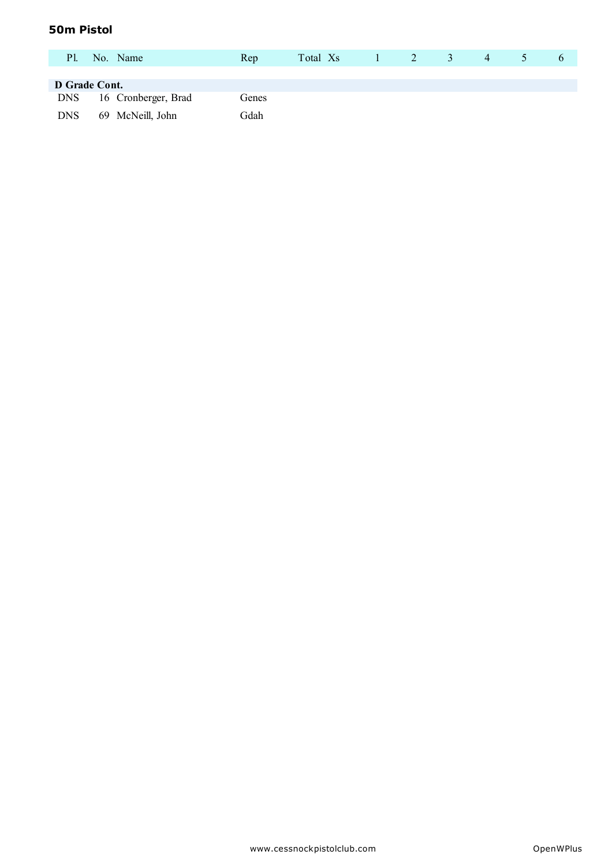## **50m Pistol**

| Pl.           | No. Name            | Rep   | Total Xs | $1 \quad 2$ | 3 | 4 | $\mathcal{D}$ |  |
|---------------|---------------------|-------|----------|-------------|---|---|---------------|--|
| D Grade Cont. |                     |       |          |             |   |   |               |  |
| DNS           | 16 Cronberger, Brad | Genes |          |             |   |   |               |  |
| <b>DNS</b>    | 69 McNeill, John    | Gdah  |          |             |   |   |               |  |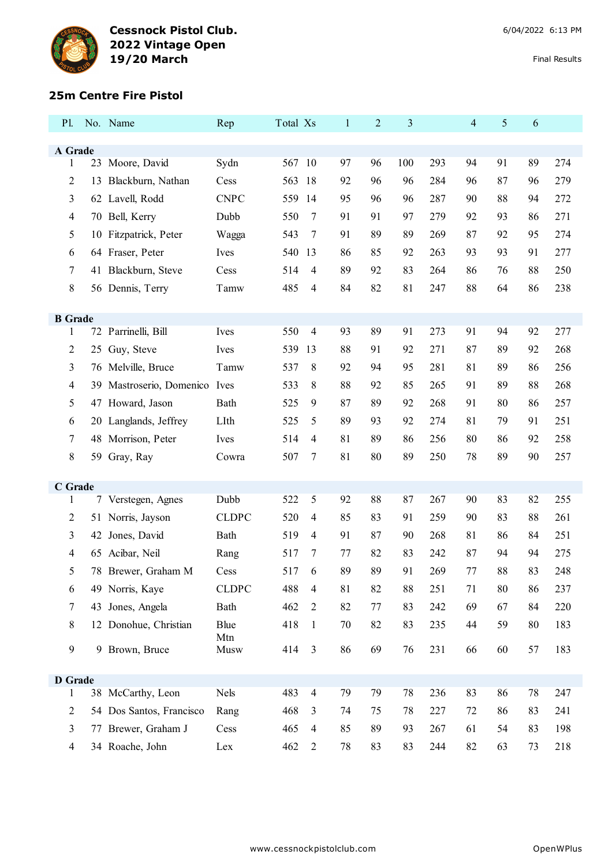

### **25m Centre Fire Pistol**

| Pl.                 |    | No. Name                   | Rep          | Total Xs |                | $\mathbf{1}$ | $\overline{c}$ | 3   |     | $\overline{4}$ | 5  | 6  |     |
|---------------------|----|----------------------------|--------------|----------|----------------|--------------|----------------|-----|-----|----------------|----|----|-----|
| A Grade             |    |                            |              |          |                |              |                |     |     |                |    |    |     |
| $\mathbf{1}$        |    | 23 Moore, David            | Sydn         | 567 10   |                | 97           | 96             | 100 | 293 | 94             | 91 | 89 | 274 |
| $\overline{2}$      | 13 | Blackburn, Nathan          | Cess         | 563      | 18             | 92           | 96             | 96  | 284 | 96             | 87 | 96 | 279 |
| 3                   |    | 62 Lavell, Rodd            | <b>CNPC</b>  | 559 14   |                | 95           | 96             | 96  | 287 | 90             | 88 | 94 | 272 |
| 4                   |    | 70 Bell, Kerry             | Dubb         | 550      | 7              | 91           | 91             | 97  | 279 | 92             | 93 | 86 | 271 |
| 5                   |    | 10 Fitzpatrick, Peter      | Wagga        | 543      | $\tau$         | 91           | 89             | 89  | 269 | 87             | 92 | 95 | 274 |
| 6                   |    | 64 Fraser, Peter           | Ives         | 540 13   |                | 86           | 85             | 92  | 263 | 93             | 93 | 91 | 277 |
| 7                   |    | 41 Blackburn, Steve        | Cess         | 514      | $\overline{4}$ | 89           | 92             | 83  | 264 | 86             | 76 | 88 | 250 |
| 8                   |    | 56 Dennis, Terry           | Tamw         | 485      | $\overline{4}$ | 84           | 82             | 81  | 247 | 88             | 64 | 86 | 238 |
|                     |    |                            |              |          |                |              |                |     |     |                |    |    |     |
| <b>B</b> Grade<br>1 |    | 72 Parrinelli, Bill        | Ives         | 550      | $\overline{4}$ | 93           | 89             | 91  | 273 | 91             | 94 | 92 | 277 |
| 2                   |    | 25 Guy, Steve              | Ives         | 539      | 13             | 88           | 91             | 92  | 271 | 87             | 89 | 92 | 268 |
| 3                   |    | 76 Melville, Bruce         | Tamw         | 537      | 8              | 92           | 94             | 95  | 281 | 81             | 89 | 86 | 256 |
| 4                   | 39 | Mastroserio, Domenico Ives |              | 533      | 8              | 88           | 92             | 85  | 265 | 91             | 89 | 88 | 268 |
| 5                   |    | 47 Howard, Jason           | Bath         | 525      | 9              | 87           | 89             | 92  | 268 | 91             | 80 | 86 | 257 |
| 6                   |    | 20 Langlands, Jeffrey      | LIth         | 525      | 5              | 89           | 93             | 92  | 274 | 81             | 79 | 91 | 251 |
| 7                   |    | 48 Morrison, Peter         | Ives         | 514      | 4              | 81           | 89             | 86  | 256 | 80             | 86 | 92 | 258 |
| 8                   |    | 59 Gray, Ray               | Cowra        | 507      | 7              | 81           | 80             | 89  | 250 | 78             | 89 | 90 | 257 |
|                     |    |                            |              |          |                |              |                |     |     |                |    |    |     |
| C Grade<br>1        |    | 7 Verstegen, Agnes         | Dubb         | 522      | 5              | 92           | 88             | 87  | 267 | 90             | 83 | 82 | 255 |
| 2                   |    | 51 Norris, Jayson          | <b>CLDPC</b> | 520      | $\overline{4}$ | 85           | 83             | 91  | 259 | 90             | 83 | 88 | 261 |
| 3                   | 42 | Jones, David               | Bath         | 519      | $\overline{4}$ | 91           | 87             | 90  | 268 | 81             | 86 | 84 | 251 |
| 4                   | 65 | Acibar, Neil               | Rang         | 517      | 7              | 77           | 82             | 83  | 242 | 87             | 94 | 94 | 275 |
| 5                   |    | 78 Brewer, Graham M        | Cess         | 517      | 6              | 89           | 89             | 91  | 269 | 77             | 88 | 83 | 248 |
| 6                   |    | 49 Norris, Kaye            | CLDPC        | 488      | $\overline{4}$ | 81           | 82             | 88  | 251 | 71             | 80 | 86 | 237 |
| 7                   |    | 43 Jones, Angela           | Bath         | 462      | $\sqrt{2}$     | 82           | $77\,$         | 83  | 242 | 69             | 67 | 84 | 220 |
| 8                   |    | 12 Donohue, Christian      | Blue         | 418      | $\mathbf{1}$   | 70           | 82             | 83  | 235 | 44             | 59 | 80 | 183 |
| $\mathbf{9}$        |    | 9 Brown, Bruce             | Mtn<br>Musw  | 414      | $\mathfrak{Z}$ | 86           | 69             | 76  | 231 | 66             | 60 | 57 | 183 |
|                     |    |                            |              |          |                |              |                |     |     |                |    |    |     |
| <b>D</b> Grade      |    |                            |              |          |                |              |                |     |     |                |    |    |     |
| 1                   |    | 38 McCarthy, Leon          | Nels         | 483      | $\overline{4}$ | 79           | 79             | 78  | 236 | 83             | 86 | 78 | 247 |
| 2                   |    | 54 Dos Santos, Francisco   | Rang         | 468      | 3              | 74           | 75             | 78  | 227 | 72             | 86 | 83 | 241 |
| 3                   |    | 77 Brewer, Graham J        | Cess         | 465      | $\overline{4}$ | 85           | 89             | 93  | 267 | 61             | 54 | 83 | 198 |
| 4                   |    | 34 Roache, John            | Lex          | 462      | $\overline{2}$ | 78           | 83             | 83  | 244 | 82             | 63 | 73 | 218 |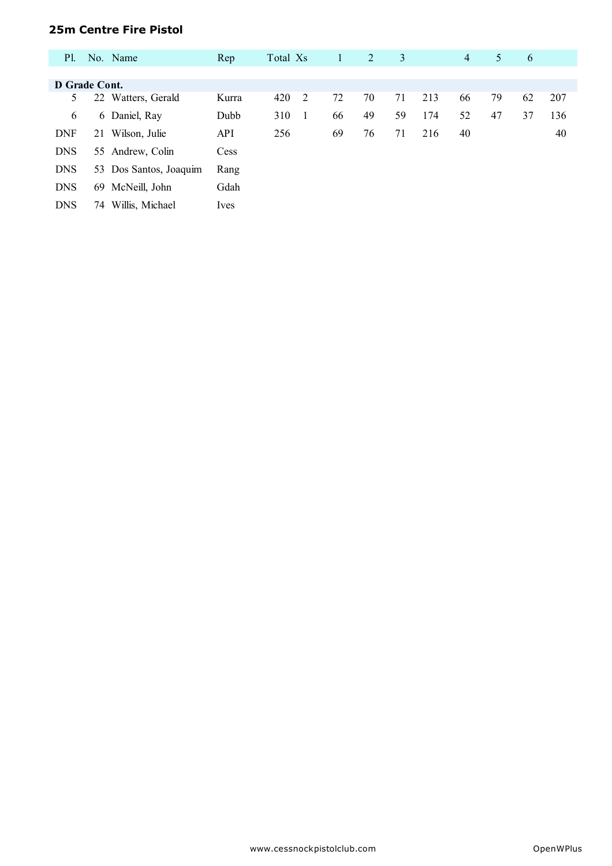### **25m Centre Fire Pistol**

| <b>P</b> l.   |    | No. Name               | Rep        | Total Xs |                | $\mathbf{1}$ | 2  | 3  |     | $\overline{4}$ | 5  | 6  |     |
|---------------|----|------------------------|------------|----------|----------------|--------------|----|----|-----|----------------|----|----|-----|
|               |    |                        |            |          |                |              |    |    |     |                |    |    |     |
| D Grade Cont. |    |                        |            |          |                |              |    |    |     |                |    |    |     |
| 5.            | 22 | Watters, Gerald        | Kurra      | 420      | 2              | 72           | 70 | 71 | 213 | 66             | 79 | 62 | 207 |
| 6             |    | 6 Daniel, Ray          | Dubb       | 310      | $\overline{1}$ | 66           | 49 | 59 | 174 | 52             | 47 | 37 | 136 |
| <b>DNF</b>    | 21 | Wilson, Julie          | <b>API</b> | 256      |                | 69           | 76 | 71 | 216 | 40             |    |    | 40  |
| <b>DNS</b>    |    | 55 Andrew, Colin       | Cess       |          |                |              |    |    |     |                |    |    |     |
| <b>DNS</b>    |    | 53 Dos Santos, Joaquim | Rang       |          |                |              |    |    |     |                |    |    |     |
| <b>DNS</b>    | 69 | McNeill, John          | Gdah       |          |                |              |    |    |     |                |    |    |     |
| <b>DNS</b>    | 74 | Willis, Michael        | Ives       |          |                |              |    |    |     |                |    |    |     |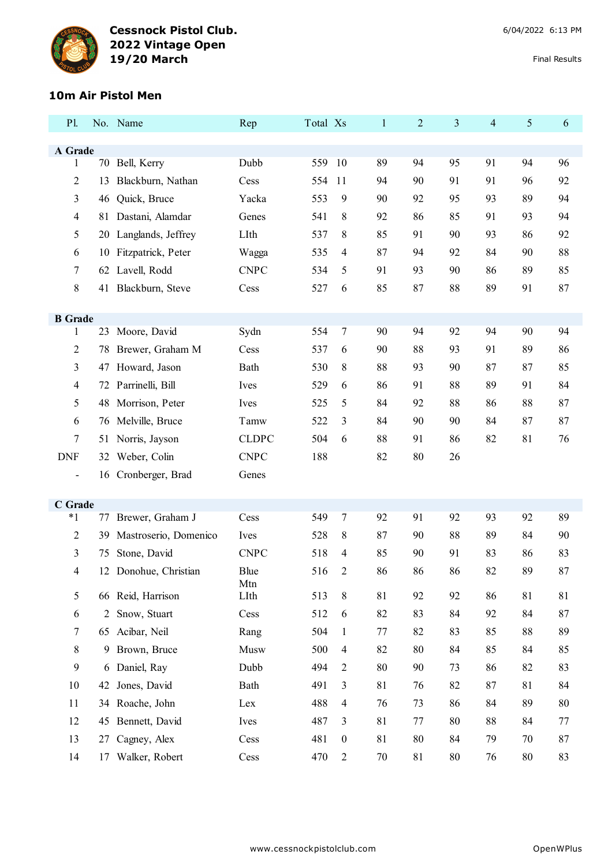

#### **10m Air Pistol Men**

| P1.                      |    | No. Name              | Rep                | Total Xs |                  | $\mathbf{1}$ | $\overline{2}$ | 3  | 4  | 5      | 6  |
|--------------------------|----|-----------------------|--------------------|----------|------------------|--------------|----------------|----|----|--------|----|
| A Grade                  |    |                       |                    |          |                  |              |                |    |    |        |    |
| 1                        |    | 70 Bell, Kerry        | Dubb               | 559      | -10              | 89           | 94             | 95 | 91 | 94     | 96 |
| $\overline{2}$           | 13 | Blackburn, Nathan     | Cess               | 554      | 11               | 94           | 90             | 91 | 91 | 96     | 92 |
| 3                        | 46 | Quick, Bruce          | Yacka              | 553      | 9                | 90           | 92             | 95 | 93 | 89     | 94 |
| $\overline{4}$           | 81 | Dastani, Alamdar      | Genes              | 541      | 8                | 92           | 86             | 85 | 91 | 93     | 94 |
| 5                        | 20 | Langlands, Jeffrey    | LIth               | 537      | 8                | 85           | 91             | 90 | 93 | 86     | 92 |
| 6                        | 10 | Fitzpatrick, Peter    | Wagga              | 535      | $\overline{4}$   | 87           | 94             | 92 | 84 | 90     | 88 |
| 7                        | 62 | Lavell, Rodd          | <b>CNPC</b>        | 534      | 5                | 91           | 93             | 90 | 86 | 89     | 85 |
| 8                        |    | 41 Blackburn, Steve   | Cess               | 527      | 6                | 85           | 87             | 88 | 89 | 91     | 87 |
|                          |    |                       |                    |          |                  |              |                |    |    |        |    |
| <b>B</b> Grade           |    |                       |                    |          |                  |              |                |    |    |        |    |
| 1                        |    | 23 Moore, David       | Sydn               | 554      | 7                | 90           | 94             | 92 | 94 | 90     | 94 |
| $\overline{2}$           | 78 | Brewer, Graham M      | Cess               | 537      | 6                | 90           | 88             | 93 | 91 | 89     | 86 |
| 3                        | 47 | Howard, Jason         | Bath               | 530      | 8                | 88           | 93             | 90 | 87 | 87     | 85 |
| $\overline{4}$           | 72 | Parrinelli, Bill      | Ives               | 529      | 6                | 86           | 91             | 88 | 89 | 91     | 84 |
| 5                        |    | 48 Morrison, Peter    | Ives               | 525      | 5                | 84           | 92             | 88 | 86 | 88     | 87 |
| 6                        |    | 76 Melville, Bruce    | Tamw               | 522      | 3                | 84           | 90             | 90 | 84 | 87     | 87 |
| 7                        | 51 | Norris, Jayson        | <b>CLDPC</b>       | 504      | 6                | 88           | 91             | 86 | 82 | 81     | 76 |
| <b>DNF</b>               | 32 | Weber, Colin          | <b>CNPC</b>        | 188      |                  | 82           | 80             | 26 |    |        |    |
| $\overline{\phantom{a}}$ |    | 16 Cronberger, Brad   | Genes              |          |                  |              |                |    |    |        |    |
| C Grade                  |    |                       |                    |          |                  |              |                |    |    |        |    |
| $*1$                     | 77 | Brewer, Graham J      | Cess               | 549      | $\tau$           | 92           | 91             | 92 | 93 | 92     | 89 |
| $\overline{2}$           | 39 | Mastroserio, Domenico | Ives               | 528      | 8                | 87           | 90             | 88 | 89 | 84     | 90 |
| 3                        | 75 | Stone, David          | <b>CNPC</b>        | 518      | 4                | 85           | 90             | 91 | 83 | 86     | 83 |
| 4                        | 12 | Donohue, Christian    | <b>Blue</b><br>Mtn | 516      | 2                | 86           | 86             | 86 | 82 | 89     | 87 |
| 5                        | 66 | Reid, Harrison        | LIth               | 513      | $\,8\,$          | 81           | 92             | 92 | 86 | 81     | 81 |
| 6                        | 2  | Snow, Stuart          | Cess               | 512      | 6                | 82           | 83             | 84 | 92 | 84     | 87 |
| 7                        | 65 | Acibar, Neil          | Rang               | 504      | $\mathbf{1}$     | 77           | 82             | 83 | 85 | 88     | 89 |
| $8\,$                    | 9  | Brown, Bruce          | Musw               | 500      | 4                | 82           | 80             | 84 | 85 | 84     | 85 |
| 9                        |    | 6 Daniel, Ray         | Dubb               | 494      | $\overline{2}$   | 80           | 90             | 73 | 86 | 82     | 83 |
| 10                       | 42 | Jones, David          | Bath               | 491      | 3                | 81           | 76             | 82 | 87 | 81     | 84 |
| 11                       |    | 34 Roache, John       | Lex                | 488      | $\overline{4}$   | 76           | 73             | 86 | 84 | 89     | 80 |
| 12                       | 45 | Bennett, David        | Ives               | 487      | 3                | 81           | 77             | 80 | 88 | 84     | 77 |
| 13                       | 27 | Cagney, Alex          | Cess               | 481      | $\boldsymbol{0}$ | 81           | 80             | 84 | 79 | 70     | 87 |
| 14                       |    | 17 Walker, Robert     | Cess               | 470      | $\overline{2}$   | $70\,$       | 81             | 80 | 76 | $80\,$ | 83 |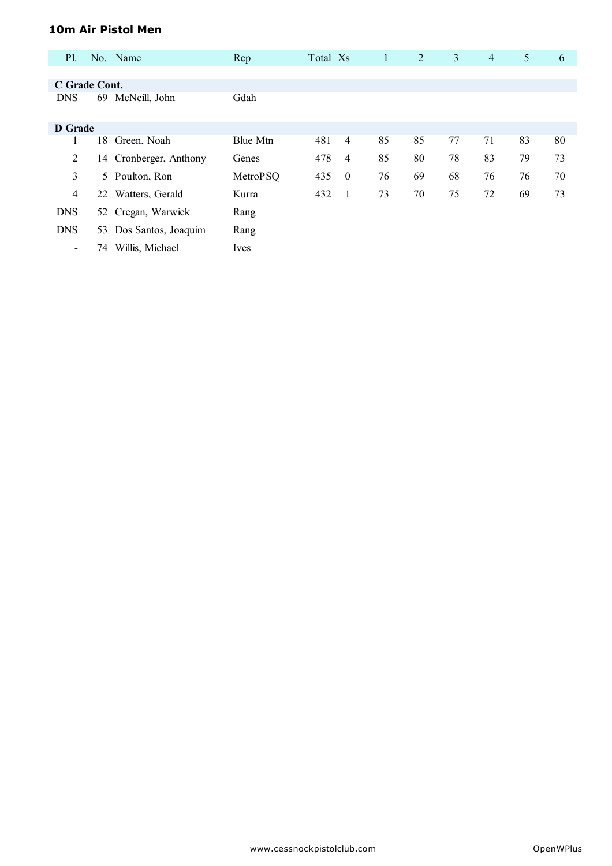## **10m Air Pistol Men**

| <b>P1.</b>               |    | No. Name               | Rep             | Total Xs |                | $\mathbf{1}$ | 2  | 3  | $\overline{4}$ | 5  | 6  |
|--------------------------|----|------------------------|-----------------|----------|----------------|--------------|----|----|----------------|----|----|
|                          |    |                        |                 |          |                |              |    |    |                |    |    |
| C Grade Cont.            |    |                        |                 |          |                |              |    |    |                |    |    |
| <b>DNS</b>               | 69 | McNeill, John          | Gdah            |          |                |              |    |    |                |    |    |
| <b>D</b> Grade           |    |                        |                 |          |                |              |    |    |                |    |    |
| $\mathbf{I}$             | 18 | Green, Noah            | <b>Blue Mtn</b> | 481      | $\overline{4}$ | 85           | 85 | 77 | 71             | 83 | 80 |
| 2                        |    | 14 Cronberger, Anthony | Genes           | 478      | $\overline{4}$ | 85           | 80 | 78 | 83             | 79 | 73 |
| 3                        | 5  | Poulton, Ron           | MetroPSQ        | 435      | $\bf{0}$       | 76           | 69 | 68 | 76             | 76 | 70 |
| 4                        |    | 22 Watters, Gerald     | Kurra           | 432      | -1             | 73           | 70 | 75 | 72             | 69 | 73 |
| <b>DNS</b>               |    | 52 Cregan, Warwick     | Rang            |          |                |              |    |    |                |    |    |
| <b>DNS</b>               | 53 | Dos Santos, Joaquim    | Rang            |          |                |              |    |    |                |    |    |
| $\overline{\phantom{a}}$ | 74 | Willis, Michael        | Ives            |          |                |              |    |    |                |    |    |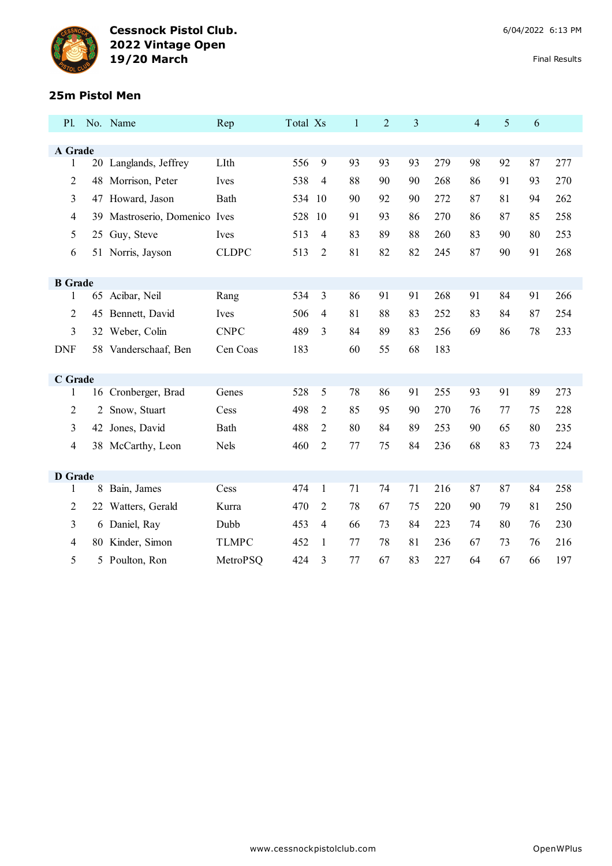

## **25m Pistol Men**

| <b>P1.</b>     |                | No. Name                      | Rep          | Total Xs |                | $\mathbf{1}$ | $\overline{2}$ | 3  |     | $\overline{\mathcal{L}}$ | 5  | 6  |     |
|----------------|----------------|-------------------------------|--------------|----------|----------------|--------------|----------------|----|-----|--------------------------|----|----|-----|
|                |                |                               |              |          |                |              |                |    |     |                          |    |    |     |
| A Grade        |                |                               |              |          |                |              |                |    |     |                          |    |    |     |
| 1              |                | 20 Langlands, Jeffrey         | LIth         | 556      | 9              | 93           | 93             | 93 | 279 | 98                       | 92 | 87 | 277 |
| $\overline{c}$ | 48             | Morrison, Peter               | Ives         | 538      | 4              | 88           | 90             | 90 | 268 | 86                       | 91 | 93 | 270 |
| 3              |                | 47 Howard, Jason              | Bath         | 534      | 10             | 90           | 92             | 90 | 272 | 87                       | 81 | 94 | 262 |
| 4              |                | 39 Mastroserio, Domenico Ives |              | 528      | 10             | 91           | 93             | 86 | 270 | 86                       | 87 | 85 | 258 |
| 5              |                | 25 Guy, Steve                 | Ives         | 513      | $\overline{4}$ | 83           | 89             | 88 | 260 | 83                       | 90 | 80 | 253 |
| 6              |                | 51 Norris, Jayson             | <b>CLDPC</b> | 513      | 2              | 81           | 82             | 82 | 245 | 87                       | 90 | 91 | 268 |
|                |                |                               |              |          |                |              |                |    |     |                          |    |    |     |
| <b>B</b> Grade |                |                               |              |          |                |              |                |    |     |                          |    |    |     |
| 1              | 65             | Acibar, Neil                  | Rang         | 534      | 3              | 86           | 91             | 91 | 268 | 91                       | 84 | 91 | 266 |
| $\overline{c}$ | 45             | Bennett, David                | Ives         | 506      | $\overline{4}$ | 81           | 88             | 83 | 252 | 83                       | 84 | 87 | 254 |
| 3              |                | 32 Weber, Colin               | <b>CNPC</b>  | 489      | 3              | 84           | 89             | 83 | 256 | 69                       | 86 | 78 | 233 |
| <b>DNF</b>     |                | 58 Vanderschaaf, Ben          | Cen Coas     | 183      |                | 60           | 55             | 68 | 183 |                          |    |    |     |
|                |                |                               |              |          |                |              |                |    |     |                          |    |    |     |
| C Grade        |                |                               |              |          |                |              |                |    |     |                          |    |    |     |
| 1              |                | 16 Cronberger, Brad           | Genes        | 528      | 5              | 78           | 86             | 91 | 255 | 93                       | 91 | 89 | 273 |
| $\overline{2}$ | $\overline{2}$ | Snow, Stuart                  | Cess         | 498      | 2              | 85           | 95             | 90 | 270 | 76                       | 77 | 75 | 228 |
| 3              |                | 42 Jones, David               | Bath         | 488      | 2              | 80           | 84             | 89 | 253 | 90                       | 65 | 80 | 235 |
| $\overline{4}$ |                | 38 McCarthy, Leon             | <b>Nels</b>  | 460      | 2              | 77           | 75             | 84 | 236 | 68                       | 83 | 73 | 224 |
|                |                |                               |              |          |                |              |                |    |     |                          |    |    |     |
| <b>D</b> Grade |                |                               |              |          |                |              |                |    |     |                          |    |    |     |
| 1              | 8              | Bain, James                   | Cess         | 474      | $\mathbf{1}$   | 71           | 74             | 71 | 216 | 87                       | 87 | 84 | 258 |
| 2              | 22             | Watters, Gerald               | Kurra        | 470      | 2              | 78           | 67             | 75 | 220 | 90                       | 79 | 81 | 250 |
| 3              |                | 6 Daniel, Ray                 | Dubb         | 453      | 4              | 66           | 73             | 84 | 223 | 74                       | 80 | 76 | 230 |
| 4              | 80             | Kinder, Simon                 | <b>TLMPC</b> | 452      | 1              | 77           | 78             | 81 | 236 | 67                       | 73 | 76 | 216 |
| 5              |                | 5 Poulton, Ron                | MetroPSQ     | 424      | 3              | 77           | 67             | 83 | 227 | 64                       | 67 | 66 | 197 |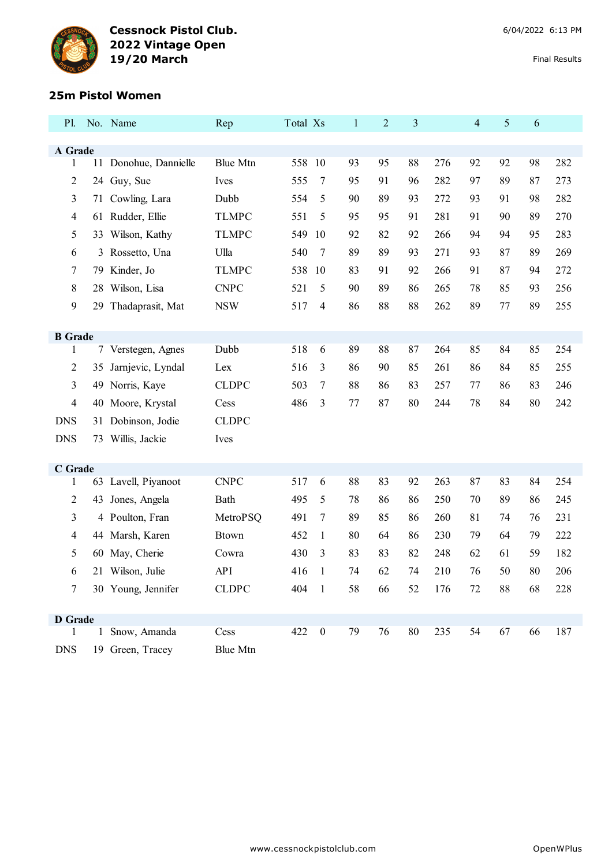

#### **25m Pistol Women**

| <b>Pl.</b>          |    | No. Name              | Rep             | Total Xs |                         | $\mathbf{1}$ | $\overline{2}$ | 3  |     | $\overline{4}$ | 5  | 6  |     |
|---------------------|----|-----------------------|-----------------|----------|-------------------------|--------------|----------------|----|-----|----------------|----|----|-----|
|                     |    |                       |                 |          |                         |              |                |    |     |                |    |    |     |
| A Grade<br>1        |    | 11 Donohue, Dannielle | <b>Blue Mtn</b> | 558 10   |                         | 93           | 95             | 88 | 276 | 92             | 92 | 98 | 282 |
| 2                   |    | 24 Guy, Sue           | Ives            | 555      | 7                       | 95           | 91             | 96 | 282 | 97             | 89 | 87 | 273 |
| 3                   | 71 | Cowling, Lara         | Dubb            | 554      | 5                       | 90           | 89             | 93 | 272 | 93             | 91 | 98 | 282 |
| 4                   | 61 | Rudder, Ellie         | <b>TLMPC</b>    | 551      | 5                       | 95           | 95             | 91 | 281 | 91             | 90 | 89 | 270 |
| 5                   |    | 33 Wilson, Kathy      | <b>TLMPC</b>    | 549      | 10                      | 92           | 82             | 92 | 266 | 94             | 94 | 95 | 283 |
|                     |    |                       | Ulla            | 540      |                         | 89           | 89             | 93 | 271 | 93             | 87 | 89 | 269 |
| 6                   | 3  | Rossetto, Una         |                 |          | 7                       |              |                |    |     |                |    |    |     |
| 7                   | 79 | Kinder, Jo            | <b>TLMPC</b>    | 538      | 10                      | 83           | 91             | 92 | 266 | 91             | 87 | 94 | 272 |
| 8                   |    | 28 Wilson, Lisa       | <b>CNPC</b>     | 521      | 5                       | 90           | 89             | 86 | 265 | 78             | 85 | 93 | 256 |
| 9                   | 29 | Thadaprasit, Mat      | <b>NSW</b>      | 517      | 4                       | 86           | 88             | 88 | 262 | 89             | 77 | 89 | 255 |
| <b>B</b> Grade      |    |                       |                 |          |                         |              |                |    |     |                |    |    |     |
| 1                   |    | 7 Verstegen, Agnes    | Dubb            | 518      | 6                       | 89           | 88             | 87 | 264 | 85             | 84 | 85 | 254 |
| 2                   | 35 | Jarnjevic, Lyndal     | Lex             | 516      | 3                       | 86           | 90             | 85 | 261 | 86             | 84 | 85 | 255 |
| 3                   |    | 49 Norris, Kaye       | <b>CLDPC</b>    | 503      | $\tau$                  | 88           | 86             | 83 | 257 | 77             | 86 | 83 | 246 |
| 4                   |    | 40 Moore, Krystal     | Cess            | 486      | 3                       | 77           | 87             | 80 | 244 | 78             | 84 | 80 | 242 |
| <b>DNS</b>          | 31 | Dobinson, Jodie       | <b>CLDPC</b>    |          |                         |              |                |    |     |                |    |    |     |
| <b>DNS</b>          |    | 73 Willis, Jackie     | Ives            |          |                         |              |                |    |     |                |    |    |     |
|                     |    |                       |                 |          |                         |              |                |    |     |                |    |    |     |
| C Grade             |    |                       |                 |          |                         |              |                |    |     |                |    |    |     |
| 1                   |    | 63 Lavell, Piyanoot   | <b>CNPC</b>     | 517      | 6                       | 88           | 83             | 92 | 263 | 87             | 83 | 84 | 254 |
| 2                   | 43 | Jones, Angela         | Bath            | 495      | 5                       | 78           | 86             | 86 | 250 | 70             | 89 | 86 | 245 |
| 3                   |    | 4 Poulton, Fran       | MetroPSQ        | 491      | 7                       | 89           | 85             | 86 | 260 | 81             | 74 | 76 | 231 |
| 4                   |    | 44 Marsh, Karen       | <b>Btown</b>    | 452      | 1                       | 80           | 64             | 86 | 230 | 79             | 64 | 79 | 222 |
| 5                   |    | 60 May, Cherie        | Cowra           | 430      | 3                       | 83           | 83             | 82 | 248 | 62             | 61 | 59 | 182 |
| 6                   | 21 | Wilson, Julie         | <b>API</b>      | 416      |                         | 74           | 62             | 74 | 210 | 76             | 50 | 80 | 206 |
| $7\overline{ }$     |    | 30 Young, Jennifer    | <b>CLDPC</b>    | 404 1    |                         | 58           | 66             | 52 | 176 | 72             | 88 | 68 | 228 |
|                     |    |                       |                 |          |                         |              |                |    |     |                |    |    |     |
| <b>D</b> Grade<br>1 |    | 1 Snow, Amanda        | Cess            | 422      | $\overline{\mathbf{0}}$ | 79           | 76             | 80 | 235 | 54             | 67 | 66 | 187 |
| <b>DNS</b>          |    | 19 Green, Tracey      | <b>Blue Mtn</b> |          |                         |              |                |    |     |                |    |    |     |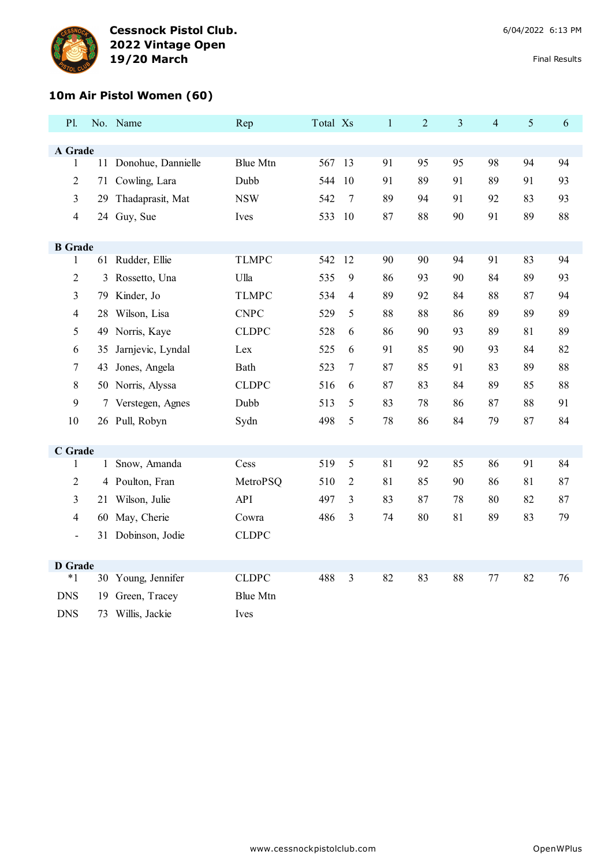

# **10m Air Pistol Women (60)**

| P1.                      |    | No. Name              | Rep             | Total Xs |                | $\mathbf{1}$ | $\overline{2}$ | $\overline{3}$ | $\overline{4}$ | 5  | 6  |
|--------------------------|----|-----------------------|-----------------|----------|----------------|--------------|----------------|----------------|----------------|----|----|
| A Grade                  |    |                       |                 |          |                |              |                |                |                |    |    |
| $\mathbf{1}$             |    | 11 Donohue, Dannielle | <b>Blue Mtn</b> | 567      | 13             | 91           | 95             | 95             | 98             | 94 | 94 |
| $\overline{2}$           |    | 71 Cowling, Lara      | Dubb            | 544      | 10             | 91           | 89             | 91             | 89             | 91 | 93 |
| 3                        |    | 29 Thadaprasit, Mat   | <b>NSW</b>      | 542      | $\overline{7}$ | 89           | 94             | 91             | 92             | 83 | 93 |
| $\overline{4}$           |    | 24 Guy, Sue           | Ives            | 533      | 10             | 87           | 88             | 90             | 91             | 89 | 88 |
|                          |    |                       |                 |          |                |              |                |                |                |    |    |
| <b>B</b> Grade           |    |                       |                 |          |                |              |                |                |                |    |    |
| $\mathbf{1}$             |    | 61 Rudder, Ellie      | <b>TLMPC</b>    | 542      | 12             | 90           | 90             | 94             | 91             | 83 | 94 |
| $\overline{2}$           | 3  | Rossetto, Una         | Ulla            | 535      | 9              | 86           | 93             | 90             | 84             | 89 | 93 |
| 3                        |    | 79 Kinder, Jo         | <b>TLMPC</b>    | 534      | $\overline{4}$ | 89           | 92             | 84             | 88             | 87 | 94 |
| $\overline{4}$           | 28 | Wilson, Lisa          | <b>CNPC</b>     | 529      | 5              | 88           | 88             | 86             | 89             | 89 | 89 |
| 5                        |    | 49 Norris, Kaye       | <b>CLDPC</b>    | 528      | 6              | 86           | 90             | 93             | 89             | 81 | 89 |
| 6                        | 35 | Jarnjevic, Lyndal     | Lex             | 525      | 6              | 91           | 85             | 90             | 93             | 84 | 82 |
| $\overline{7}$           | 43 | Jones, Angela         | <b>Bath</b>     | 523      | $\tau$         | 87           | 85             | 91             | 83             | 89 | 88 |
| 8                        |    | 50 Norris, Alyssa     | <b>CLDPC</b>    | 516      | 6              | 87           | 83             | 84             | 89             | 85 | 88 |
| 9                        |    | 7 Verstegen, Agnes    | Dubb            | 513      | 5              | 83           | 78             | 86             | 87             | 88 | 91 |
| 10                       |    | 26 Pull, Robyn        | Sydn            | 498      | 5              | 78           | 86             | 84             | 79             | 87 | 84 |
|                          |    |                       |                 |          |                |              |                |                |                |    |    |
| C Grade                  |    |                       |                 |          |                |              |                |                |                |    |    |
| 1                        |    | 1 Snow, Amanda        | Cess            | 519      | 5              | 81           | 92             | 85             | 86             | 91 | 84 |
| $\overline{2}$           |    | 4 Poulton, Fran       | MetroPSQ        | 510      | $\overline{2}$ | 81           | 85             | 90             | 86             | 81 | 87 |
| 3                        |    | 21 Wilson, Julie      | API             | 497      | $\overline{3}$ | 83           | 87             | 78             | 80             | 82 | 87 |
| $\overline{4}$           |    | 60 May, Cherie        | Cowra           | 486      | 3              | 74           | 80             | 81             | 89             | 83 | 79 |
| $\overline{\phantom{a}}$ |    | 31 Dobinson, Jodie    | <b>CLDPC</b>    |          |                |              |                |                |                |    |    |
|                          |    |                       |                 |          |                |              |                |                |                |    |    |
| <b>D</b> Grade           |    |                       |                 |          |                |              |                |                |                |    |    |
| $*1$                     |    | 30 Young, Jennifer    | <b>CLDPC</b>    | 488      | $\overline{3}$ | 82           | 83             | 88             | 77             | 82 | 76 |
| <b>DNS</b>               | 19 | Green, Tracey         | <b>Blue Mtn</b> |          |                |              |                |                |                |    |    |
| <b>DNS</b>               | 73 | Willis, Jackie        | Ives            |          |                |              |                |                |                |    |    |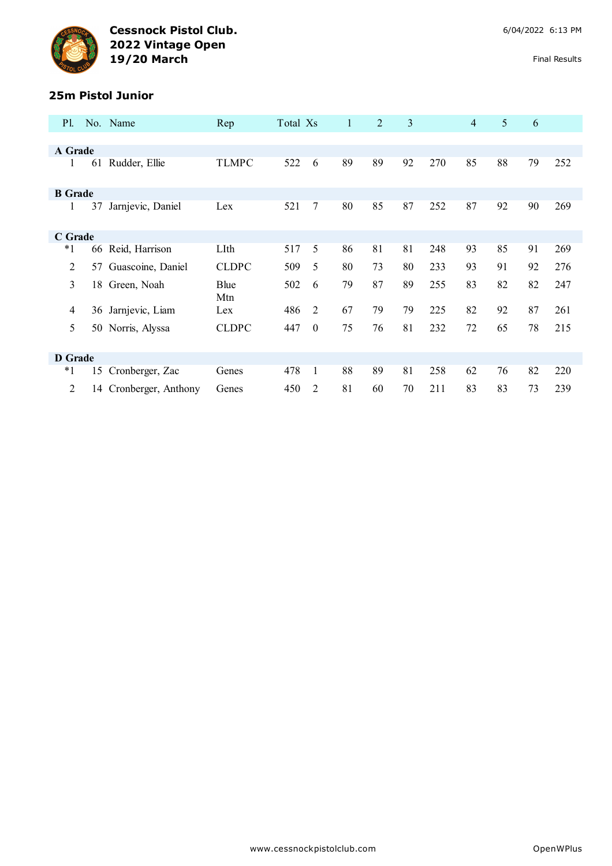

#### **25m Pistol Junior**

| <b>P1.</b>     |    | No. Name            | Rep          | Total Xs |                | 1  | $\overline{2}$ | 3  |     | $\overline{4}$ | 5  | 6  |     |
|----------------|----|---------------------|--------------|----------|----------------|----|----------------|----|-----|----------------|----|----|-----|
|                |    |                     |              |          |                |    |                |    |     |                |    |    |     |
| A Grade        |    |                     |              |          |                |    |                |    |     |                |    |    |     |
| 1              | 61 | Rudder, Ellie       | <b>TLMPC</b> | 522      | 6              | 89 | 89             | 92 | 270 | 85             | 88 | 79 | 252 |
| <b>B</b> Grade |    |                     |              |          |                |    |                |    |     |                |    |    |     |
| 1              | 37 | Jarnjevic, Daniel   | Lex          | 521      | 7              | 80 | 85             | 87 | 252 | 87             | 92 | 90 | 269 |
| C Grade        |    |                     |              |          |                |    |                |    |     |                |    |    |     |
| $^*1$          | 66 | Reid, Harrison      | LIth         | 517      | 5              | 86 | 81             | 81 | 248 | 93             | 85 | 91 | 269 |
| 2              | 57 | Guascoine, Daniel   | <b>CLDPC</b> | 509      | 5              | 80 | 73             | 80 | 233 | 93             | 91 | 92 | 276 |
| 3              | 18 | Green, Noah         | Blue<br>Mtn  | 502      | 6              | 79 | 87             | 89 | 255 | 83             | 82 | 82 | 247 |
| 4              |    | 36 Jarnjevic, Liam  | Lex          | 486      | $\overline{2}$ | 67 | 79             | 79 | 225 | 82             | 92 | 87 | 261 |
| 5              | 50 | Norris, Alyssa      | <b>CLDPC</b> | 447      | $\Omega$       | 75 | 76             | 81 | 232 | 72             | 65 | 78 | 215 |
| <b>D</b> Grade |    |                     |              |          |                |    |                |    |     |                |    |    |     |
| $*1$           | 15 | Cronberger, Zac     | Genes        | 478      | $\mathbf{1}$   | 88 | 89             | 81 | 258 | 62             | 76 | 82 | 220 |
| $\mathfrak{D}$ | 14 | Cronberger, Anthony | Genes        | 450      | $\mathfrak{D}$ | 81 | 60             | 70 | 211 | 83             | 83 | 73 | 239 |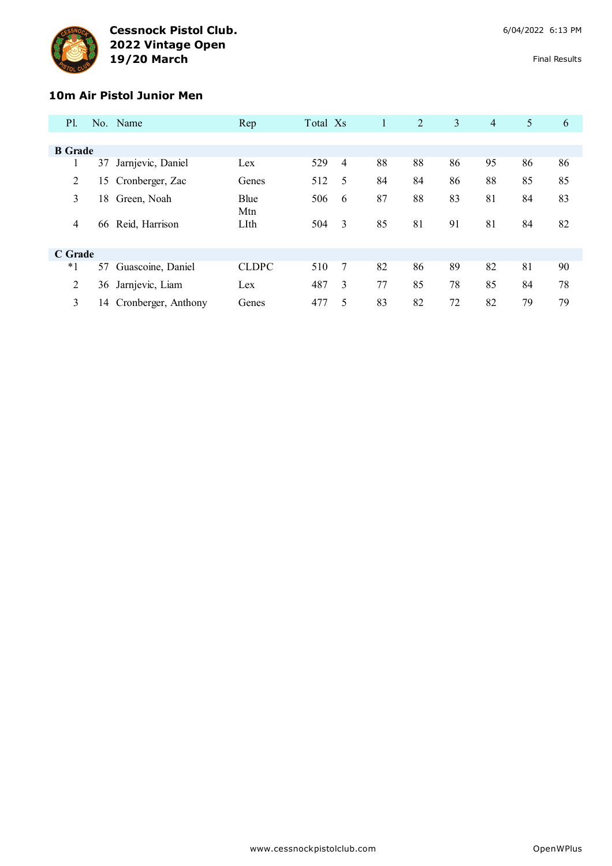

#### **10m Air Pistol Junior Men**

| <b>P</b> l.    |    | No. Name            | Rep          | Total Xs |                | 1  | 2  | 3  | $\overline{4}$ | 5  | 6  |
|----------------|----|---------------------|--------------|----------|----------------|----|----|----|----------------|----|----|
|                |    |                     |              |          |                |    |    |    |                |    |    |
|                |    |                     |              |          |                |    |    |    |                |    |    |
| <b>B</b> Grade |    |                     |              |          |                |    |    |    |                |    |    |
|                | 37 | Jarnjevic, Daniel   | Lex          | 529      | $\overline{4}$ | 88 | 88 | 86 | 95             | 86 | 86 |
| 2              | 15 | Cronberger, Zac     | Genes        | 512      | 5              | 84 | 84 | 86 | 88             | 85 | 85 |
| 3              | 18 | Green, Noah         | Blue         | 506      | 6              | 87 | 88 | 83 | 81             | 84 | 83 |
| $\overline{4}$ | 66 | Reid, Harrison      | Mtn<br>LIth  | 504      | 3              | 85 | 81 | 91 | 81             | 84 | 82 |
| C Grade        |    |                     |              |          |                |    |    |    |                |    |    |
| $*1$           | 57 | Guascoine, Daniel   | <b>CLDPC</b> | 510      | $\overline{7}$ | 82 | 86 | 89 | 82             | 81 | 90 |
| 2              | 36 | Jarnjevic, Liam     | Lex          | 487      | 3              | 77 | 85 | 78 | 85             | 84 | 78 |
| 3              | 14 | Cronberger, Anthony | Genes        | 477      | 5              | 83 | 82 | 72 | 82             | 79 | 79 |